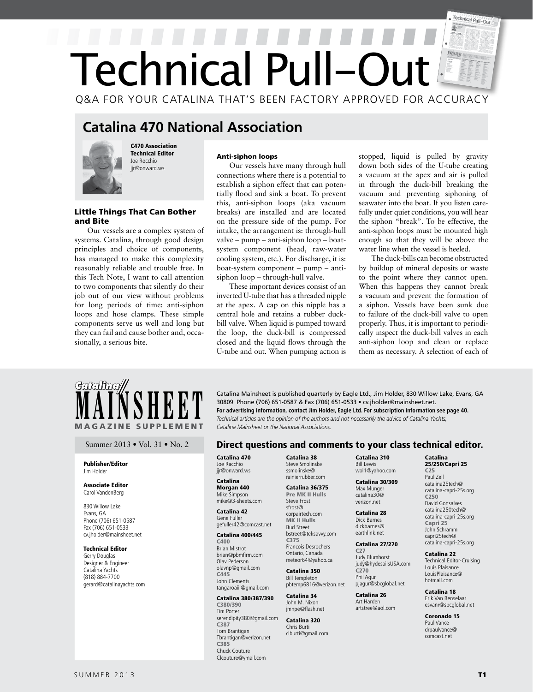# Technical Pull-Out  $\mathbb{F}$ Technical Pull-Ou Q&A FOR YOUR CATALINA THAT'S BEEN FACTORY APPROVED FOR ACCURACY

# **Catalina 470 National Association**



and Bite

C470 Association Technical Editor Joe Rocchio jir@onward.ws

Little Things That Can Bother

Our vessels are a complex system of systems. Catalina, through good design principles and choice of components, has managed to make this complexity reasonably reliable and trouble free. In this Tech Note, I want to call attention to two components that silently do their job out of our view without problems for long periods of time: anti-siphon loops and hose clamps. These simple components serve us well and long but they can fail and cause bother and, occa-

# Anti-siphon loops

Our vessels have many through hull connections where there is a potential to establish a siphon effect that can potentially flood and sink a boat. To prevent this, anti-siphon loops (aka vacuum breaks) are installed and are located on the pressure side of the pump. For intake, the arrangement is: through-hull valve – pump – anti-siphon loop – boatsystem component (head, raw-water cooling system, etc.). For discharge, it is: boat-system component – pump – antisiphon loop – through-hull valve.

These important devices consist of an inverted U-tube that has a threaded nipple at the apex. A cap on this nipple has a central hole and retains a rubber duckbill valve. When liquid is pumped toward the loop, the duck-bill is compressed closed and the liquid flows through the U-tube and out. When pumping action is stopped, liquid is pulled by gravity down both sides of the U-tube creating a vacuum at the apex and air is pulled in through the duck-bill breaking the vacuum and preventing siphoning of seawater into the boat. If you listen carefully under quiet conditions, you will hear the siphon "break". To be effective, the anti-siphon loops must be mounted high enough so that they will be above the water line when the vessel is heeled.

The duck-bills can become obstructed by buildup of mineral deposits or waste to the point where they cannot open. When this happens they cannot break a vacuum and prevent the formation of a siphon. Vessels have been sunk due to failure of the duck-bill valve to open properly. Thus, it is important to periodically inspect the duck-bill valves in each anti-siphon loop and clean or replace them as necessary. A selection of each of

# **MAGAZINE SUPPLEMENT**

# Publisher/Editor Jim Holder

sionally, a serious bite.

# Associate Editor Carol VandenBerg

830 Willow Lake Evans, GA Phone (706) 651-0587 Fax (706) 651-0533 cv.jholder@mainsheet.net

# Technical Editor

Gerry Douglas Designer & Engineer Catalina Yachts (818) 884-7700 gerard@catalinayachts.com

**MAINSHEET** Catalina Mainsheet is published quarterly by Eagle Ltd., Jim Holder, 830 Willow Lake, Evans, GA 30809 Phone (706) 651-0587 & Fax (706) 651-0533 • cv.jholder@mainsheet.net.<br>For advertising information, contact J 30809 Phone (706) 651-0587 & Fax (706) 651-0533 • cv.jholder@mainsheet.net. **For advertising information, contact Jim Holder, Eagle Ltd. For subscription information see page 40.** *Catalina Mainsheet or the National Associations.* 

# Summer 2013 • Vol. 31 • No. 2 **Direct questions and comments to your class technical editor.**

Catalina 470 Joe Racchio jir@onward.ws

## Catalina Morgan 440 Mike Simpson mike@3-sheets.com

Catalina 42 Gene Fuller gefuller42@comcast.net

# Catalina 400/445

C400 Brian Mistrot brian@pbmfirm.com Olav Pederson olavnp@gmail.com C445 John Clements tangaroaiii@gmail.com

# Catalina 380/387/390

C380/390 Tim Porter serendipity380@gmail.com C387 Tom Brantigan Tbrantigan@verizon.net C385 Chuck Couture Clcouture@ymail.com

Catalina 38 Steve Smolinske ssmolinske@ rainierrubber.com

### Catalina 36/375 Pre MK II Hulls Steve Frost sfrost@ corpairtech.com MK II Hulls

Bud Street bstreet@teksavvy.com C375 Francois Desrochers Ontario, Canada meteor64@yahoo.ca

# Catalina 350 Bill Templeton pbtemp6816@verizon.net

Catalina 34 John M. Nixon jmnpe@flash.net

Catalina 320 Chris Burti clburti@gmail.com Catalina 310 Bill Lewis wol1@yahoo.com

# Catalina 30/309 Max Munger catalina30@ verizon.net

Catalina 28 Dick Barnes dickbarnes@ earthlink.net

### Catalina 27/270 C27

Judy Blumhorst judy@hydesailsUSA.com C270 Phil Agur pjagur@sbcglobal.net

Catalina 26 Art Harden artstree@aol.com

### Coronado 15 Paul Vance drpaulvance@ comcast.net

Catalina 25/250/Capri 25 C25 Paul Zell catalina25tech@ catalina-capri-25s.org

C250 David Gonsalves catalina250tech@ catalina-capri-25s.org Capri 25 John Schramm capri25tech@ catalina-capri-25s.org Catalina 22 Technical Editor-Cruising Louis Plaisance LouisPlaisance@ hotmail.com Catalina 18 Erik Van Renselaar esvanr@sbcglobal.net

SUMMER 2013 **T1**